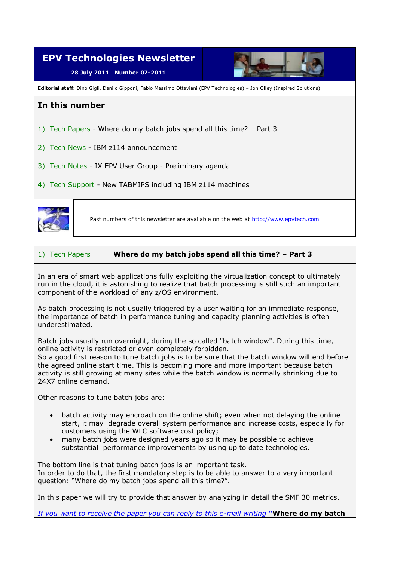

| 1) Tech Papers | Where do my batch jobs spend all this time? - Part 3 |
|----------------|------------------------------------------------------|
|----------------|------------------------------------------------------|

In an era of smart web applications fully exploiting the virtualization concept to ultimately run in the cloud, it is astonishing to realize that batch processing is still such an important component of the workload of any z/OS environment.

As batch processing is not usually triggered by a user waiting for an immediate response, the importance of batch in performance tuning and capacity planning activities is often underestimated.

Batch jobs usually run overnight, during the so called "batch window". During this time, online activity is restricted or even completely forbidden.

So a good first reason to tune batch jobs is to be sure that the batch window will end before the agreed online start time. This is becoming more and more important because batch activity is still growing at many sites while the batch window is normally shrinking due to 24X7 online demand.

Other reasons to tune batch jobs are:

- batch activity may encroach on the online shift; even when not delaying the online start, it may degrade overall system performance and increase costs, especially for customers using the WLC software cost policy;
- many batch jobs were designed years ago so it may be possible to achieve substantial performance improvements by using up to date technologies.

The bottom line is that tuning batch jobs is an important task. In order to do that, the first mandatory step is to be able to answer to a very important question: "Where do my batch jobs spend all this time?".

In this paper we will try to provide that answer by analyzing in detail the SMF 30 metrics.

*If you want to receive the paper you can reply to this e-mail writing* **"Where do my batch**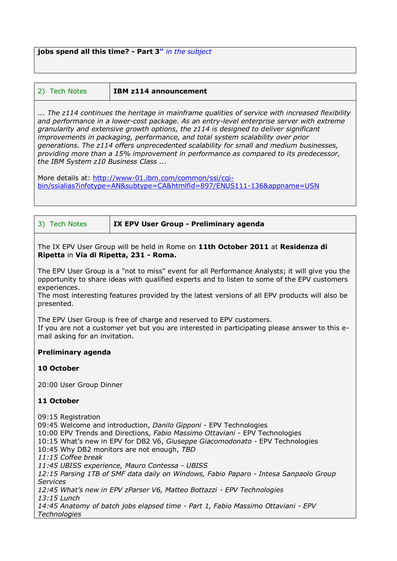**jobs spend all this time? - Part 3"** *in the subject* 

| 2) Tech Notes | <b>IBM z114 announcement</b> |
|---------------|------------------------------|
|---------------|------------------------------|

*... The z114 continues the heritage in mainframe qualities of service with increased flexibility and performance in a lower-cost package. As an entry-level enterprise server with extreme granularity and extensive growth options, the z114 is designed to deliver significant improvements in packaging, performance, and total system scalability over prior generations. The z114 offers unprecedented scalability for small and medium businesses, providing more than a 15% improvement in performance as compared to its predecessor, the IBM System z10 Business Class ...*

More details at: http://www-01.ibm.com/common/ssi/cqi[bin/ssialias?infotype=AN&subtype=CA&htmlfid=897/ENUS111-136&appname=USN](http://www-01.ibm.com/common/ssi/cgi-bin/ssialias?infotype=AN&subtype=CA&htmlfid=897/ENUS111-136&appname=USN%0b)

The IX EPV User Group will be held in Rome on **11th October 2011** at **Residenza di Ripetta** in **Via di Ripetta, 231 - Roma.**

The EPV User Group is a "not to miss" event for all Performance Analysts; it will give you the opportunity to share ideas with qualified experts and to listen to some of the EPV customers experiences.

The most interesting features provided by the latest versions of all EPV products will also be presented.

The EPV User Group is free of charge and reserved to EPV customers. If you are not a customer yet but you are interested in participating please answer to this email asking for an invitation.

## **Preliminary agenda**

## **10 October**

20:00 User Group Dinner

## **11 October**

09:15 Registration 09:45 Welcome and introduction, *Danilo Gipponi* - EPV Technologies 10:00 EPV Trends and Directions, *Fabio Massimo Ottaviani -* EPV Technologies 10:15 What's new in EPV for DB2 V6, *Giuseppe Giacomodonato -* EPV Technologies 10:45 Why DB2 monitors are not enough, *TBD 11:15 Coffee break 11:45 UBISS experience, Mauro Contessa - UBISS 12:15 Parsing 1TB of SMF data daily on Windows, Fabio Paparo - Intesa Sanpaolo Group Services 12:45 What's new in EPV zParser V6, Matteo Bottazzi - EPV Technologies 13:15 Lunch 14:45 Anatomy of batch jobs elapsed time - Part 1, Fabio Massimo Ottaviani - EPV Technologies*